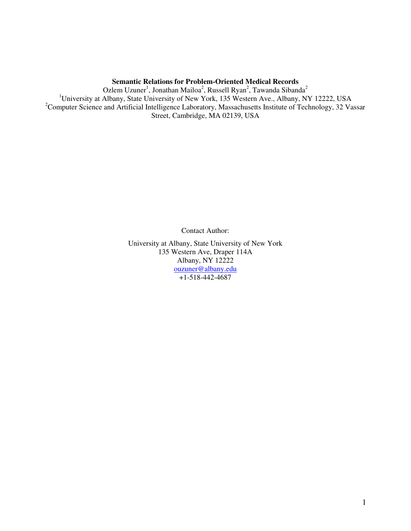# **Semantic Relations for Problem-Oriented Medical Records**

Ozlem Uzuner<sup>1</sup>, Jonathan Mailoa<sup>2</sup>, Russell Ryan<sup>2</sup>, Tawanda Sibanda<sup>2</sup> <sup>1</sup>University at Albany, State University of New York, 135 Western Ave., Albany, NY 12222, USA <sup>2</sup>Computer Science and Artificial Intelligence Laboratory, Massachusetts Institute of Technology, 32 Vassar Street, Cambridge, MA 02139, USA

Contact Author:

University at Albany, State University of New York 135 Western Ave, Draper 114A Albany, NY 12222 ouzuner@albany.edu +1-518-442-4687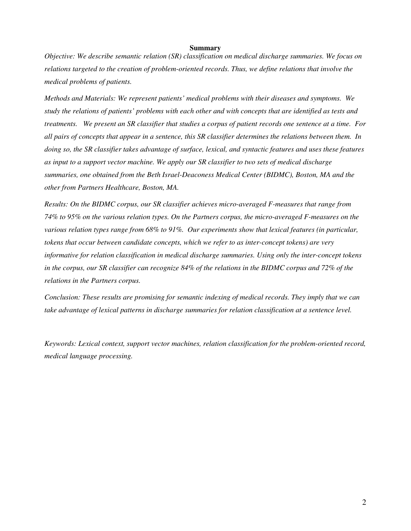### **Summary**

*Objective: We describe semantic relation (SR) classification on medical discharge summaries. We focus on relations targeted to the creation of problem-oriented records. Thus, we define relations that involve the medical problems of patients.* 

*Methods and Materials: We represent patients' medical problems with their diseases and symptoms. We study the relations of patients' problems with each other and with concepts that are identified as tests and treatments. We present an SR classifier that studies a corpus of patient records one sentence at a time. For all pairs of concepts that appear in a sentence, this SR classifier determines the relations between them. In doing so, the SR classifier takes advantage of surface, lexical, and syntactic features and uses these features as input to a support vector machine. We apply our SR classifier to two sets of medical discharge summaries, one obtained from the Beth Israel-Deaconess Medical Center (BIDMC), Boston, MA and the other from Partners Healthcare, Boston, MA.* 

*Results: On the BIDMC corpus, our SR classifier achieves micro-averaged F-measures that range from 74% to 95% on the various relation types. On the Partners corpus, the micro-averaged F-measures on the various relation types range from 68% to 91%. Our experiments show that lexical features (in particular, tokens that occur between candidate concepts, which we refer to as inter-concept tokens) are very informative for relation classification in medical discharge summaries. Using only the inter-concept tokens in the corpus, our SR classifier can recognize 84% of the relations in the BIDMC corpus and 72% of the relations in the Partners corpus.* 

*Conclusion: These results are promising for semantic indexing of medical records. They imply that we can take advantage of lexical patterns in discharge summaries for relation classification at a sentence level.* 

*Keywords: Lexical context, support vector machines, relation classification for the problem-oriented record, medical language processing.*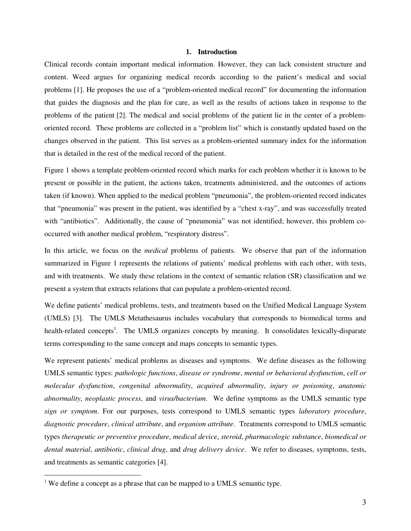# **1. Introduction**

Clinical records contain important medical information. However, they can lack consistent structure and content. Weed argues for organizing medical records according to the patient's medical and social problems [1]. He proposes the use of a "problem-oriented medical record" for documenting the information that guides the diagnosis and the plan for care, as well as the results of actions taken in response to the problems of the patient [2]. The medical and social problems of the patient lie in the center of a problemoriented record. These problems are collected in a "problem list" which is constantly updated based on the changes observed in the patient. This list serves as a problem-oriented summary index for the information that is detailed in the rest of the medical record of the patient.

Figure 1 shows a template problem-oriented record which marks for each problem whether it is known to be present or possible in the patient, the actions taken, treatments administered, and the outcomes of actions taken (if known). When applied to the medical problem "pneumonia", the problem-oriented record indicates that "pneumonia" was present in the patient, was identified by a "chest x-ray", and was successfully treated with "antibiotics". Additionally, the cause of "pneumonia" was not identified; however, this problem cooccurred with another medical problem, "respiratory distress".

In this article, we focus on the *medical* problems of patients. We observe that part of the information summarized in Figure 1 represents the relations of patients' medical problems with each other, with tests, and with treatments. We study these relations in the context of semantic relation (SR) classification and we present a system that extracts relations that can populate a problem-oriented record.

We define patients' medical problems, tests, and treatments based on the Unified Medical Language System (UMLS) [3]. The UMLS Metathesaurus includes vocabulary that corresponds to biomedical terms and health-related concepts<sup>1</sup>. The UMLS organizes concepts by meaning. It consolidates lexically-disparate terms corresponding to the same concept and maps concepts to semantic types.

We represent patients' medical problems as diseases and symptoms. We define diseases as the following UMLS semantic types: *pathologic functions*, *disease or syndrome*, *mental or behavioral dysfunction*, *cell or molecular dysfunction*, *congenital abnormality*, *acquired abnormality*, *injury or poisoning*, *anatomic abnormality*, *neoplastic process*, and *virus/bacterium*. We define symptoms as the UMLS semantic type *sign or symptom*. For our purposes, tests correspond to UMLS semantic types *laboratory procedure*, *diagnostic procedure*, *clinical attribute*, and *organism attribute*. Treatments correspond to UMLS semantic types *therapeutic or preventive procedure*, *medical device*, *steroid*, *pharmacologic substance*, *biomedical or dental material*, *antibiotic*, *clinical drug*, and *drug delivery device*. We refer to diseases, symptoms, tests, and treatments as semantic categories [4].

 $\overline{a}$ 

<sup>&</sup>lt;sup>1</sup> We define a concept as a phrase that can be mapped to a UMLS semantic type.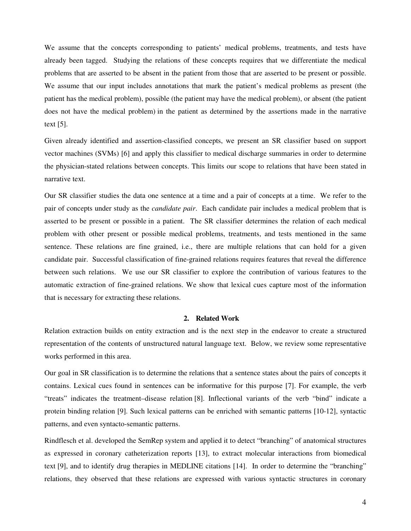We assume that the concepts corresponding to patients' medical problems, treatments, and tests have already been tagged. Studying the relations of these concepts requires that we differentiate the medical problems that are asserted to be absent in the patient from those that are asserted to be present or possible. We assume that our input includes annotations that mark the patient's medical problems as present (the patient has the medical problem), possible (the patient may have the medical problem), or absent (the patient does not have the medical problem) in the patient as determined by the assertions made in the narrative text  $[5]$ .

Given already identified and assertion-classified concepts, we present an SR classifier based on support vector machines (SVMs) [6] and apply this classifier to medical discharge summaries in order to determine the physician-stated relations between concepts. This limits our scope to relations that have been stated in narrative text.

Our SR classifier studies the data one sentence at a time and a pair of concepts at a time. We refer to the pair of concepts under study as the *candidate pair*. Each candidate pair includes a medical problem that is asserted to be present or possible in a patient. The SR classifier determines the relation of each medical problem with other present or possible medical problems, treatments, and tests mentioned in the same sentence. These relations are fine grained, i.e., there are multiple relations that can hold for a given candidate pair. Successful classification of fine-grained relations requires features that reveal the difference between such relations. We use our SR classifier to explore the contribution of various features to the automatic extraction of fine-grained relations. We show that lexical cues capture most of the information that is necessary for extracting these relations.

### **2. Related Work**

Relation extraction builds on entity extraction and is the next step in the endeavor to create a structured representation of the contents of unstructured natural language text. Below, we review some representative works performed in this area.

Our goal in SR classification is to determine the relations that a sentence states about the pairs of concepts it contains. Lexical cues found in sentences can be informative for this purpose [7]. For example, the verb "treats" indicates the treatment–disease relation [8]. Inflectional variants of the verb "bind" indicate a protein binding relation [9]. Such lexical patterns can be enriched with semantic patterns [10-12], syntactic patterns, and even syntacto-semantic patterns.

Rindflesch et al. developed the SemRep system and applied it to detect "branching" of anatomical structures as expressed in coronary catheterization reports [13], to extract molecular interactions from biomedical text [9], and to identify drug therapies in MEDLINE citations [14]. In order to determine the "branching" relations, they observed that these relations are expressed with various syntactic structures in coronary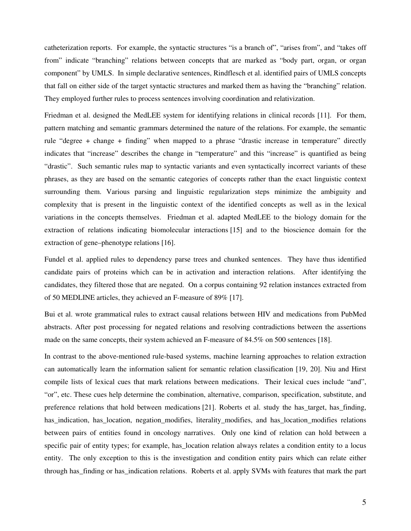catheterization reports. For example, the syntactic structures "is a branch of", "arises from", and "takes off from" indicate "branching" relations between concepts that are marked as "body part, organ, or organ component" by UMLS. In simple declarative sentences, Rindflesch et al. identified pairs of UMLS concepts that fall on either side of the target syntactic structures and marked them as having the "branching" relation. They employed further rules to process sentences involving coordination and relativization.

Friedman et al. designed the MedLEE system for identifying relations in clinical records [11]. For them, pattern matching and semantic grammars determined the nature of the relations. For example, the semantic rule "degree + change + finding" when mapped to a phrase "drastic increase in temperature" directly indicates that "increase" describes the change in "temperature" and this "increase" is quantified as being "drastic". Such semantic rules map to syntactic variants and even syntactically incorrect variants of these phrases, as they are based on the semantic categories of concepts rather than the exact linguistic context surrounding them. Various parsing and linguistic regularization steps minimize the ambiguity and complexity that is present in the linguistic context of the identified concepts as well as in the lexical variations in the concepts themselves. Friedman et al. adapted MedLEE to the biology domain for the extraction of relations indicating biomolecular interactions [15] and to the bioscience domain for the extraction of gene–phenotype relations [16].

Fundel et al. applied rules to dependency parse trees and chunked sentences. They have thus identified candidate pairs of proteins which can be in activation and interaction relations. After identifying the candidates, they filtered those that are negated. On a corpus containing 92 relation instances extracted from of 50 MEDLINE articles, they achieved an F-measure of 89% [17].

Bui et al. wrote grammatical rules to extract causal relations between HIV and medications from PubMed abstracts. After post processing for negated relations and resolving contradictions between the assertions made on the same concepts, their system achieved an F-measure of 84.5% on 500 sentences [18].

In contrast to the above-mentioned rule-based systems, machine learning approaches to relation extraction can automatically learn the information salient for semantic relation classification [19, 20]. Niu and Hirst compile lists of lexical cues that mark relations between medications. Their lexical cues include "and", "or", etc. These cues help determine the combination, alternative, comparison, specification, substitute, and preference relations that hold between medications [21]. Roberts et al. study the has\_target, has\_finding, has\_indication, has\_location, negation\_modifies, literality\_modifies, and has\_location\_modifies relations between pairs of entities found in oncology narratives. Only one kind of relation can hold between a specific pair of entity types; for example, has\_location relation always relates a condition entity to a locus entity. The only exception to this is the investigation and condition entity pairs which can relate either through has\_finding or has\_indication relations. Roberts et al. apply SVMs with features that mark the part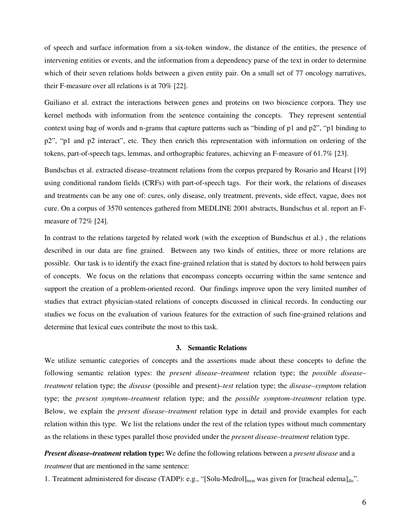of speech and surface information from a six-token window, the distance of the entities, the presence of intervening entities or events, and the information from a dependency parse of the text in order to determine which of their seven relations holds between a given entity pair. On a small set of 77 oncology narratives, their F-measure over all relations is at 70% [22].

Guiliano et al. extract the interactions between genes and proteins on two bioscience corpora. They use kernel methods with information from the sentence containing the concepts. They represent sentential context using bag of words and n-grams that capture patterns such as "binding of p1 and p2", "p1 binding to p2", "p1 and p2 interact", etc. They then enrich this representation with information on ordering of the tokens, part-of-speech tags, lemmas, and orthographic features, achieving an F-measure of 61.7% [23].

Bundschus et al. extracted disease–treatment relations from the corpus prepared by Rosario and Hearst [19] using conditional random fields (CRFs) with part-of-speech tags. For their work, the relations of diseases and treatments can be any one of: cures, only disease, only treatment, prevents, side effect, vague, does not cure. On a corpus of 3570 sentences gathered from MEDLINE 2001 abstracts, Bundschus et al. report an Fmeasure of 72% [24].

In contrast to the relations targeted by related work (with the exception of Bundschus et al.) , the relations described in our data are fine grained. Between any two kinds of entities, three or more relations are possible. Our task is to identify the exact fine-grained relation that is stated by doctors to hold between pairs of concepts. We focus on the relations that encompass concepts occurring within the same sentence and support the creation of a problem-oriented record. Our findings improve upon the very limited number of studies that extract physician-stated relations of concepts discussed in clinical records. In conducting our studies we focus on the evaluation of various features for the extraction of such fine-grained relations and determine that lexical cues contribute the most to this task.

# **3. Semantic Relations**

We utilize semantic categories of concepts and the assertions made about these concepts to define the following semantic relation types: the *present disease–treatment* relation type; the *possible disease– treatment* relation type; the *disease* (possible and present)*–test* relation type; the *disease–symptom* relation type; the *present symptom–treatment* relation type; and the *possible symptom–treatment* relation type. Below, we explain the *present disease–treatment* relation type in detail and provide examples for each relation within this type. We list the relations under the rest of the relation types without much commentary as the relations in these types parallel those provided under the *present disease–treatment* relation type.

*Present disease–treatment* **relation type:** We define the following relations between a *present disease* and a *treatment* that are mentioned in the same sentence:

1. Treatment administered for disease (TADP): e.g., "[Solu-Medrol]<sub>treat</sub> was given for [tracheal edema]<sub>dis</sub>".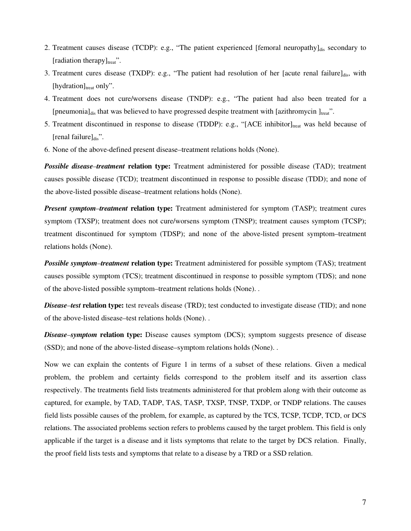- 2. Treatment causes disease (TCDP): e.g., "The patient experienced [femoral neuropathy]<sub>dis</sub> secondary to  $[radiation therapy]_{treat}$ ".
- 3. Treatment cures disease (TXDP): e.g., "The patient had resolution of her [acute renal failure] $_{dis}$ , with  $[$ hydration $]_{\text{treat}}$  only".
- 4. Treatment does not cure/worsens disease (TNDP): e.g., "The patient had also been treated for a [pneumonia] $_{dis}$  that was believed to have progressed despite treatment with [azithromycin ] $_{treat}$ ".
- 5. Treatment discontinued in response to disease (TDDP): e.g., "[ACE inhibitor] $_{\text{treat}}$  was held because of [renal failure] $_{dis}$ ".
- 6. None of the above-defined present disease*–*treatment relations holds (None).

*Possible disease–treatment* **relation type:** Treatment administered for possible disease (TAD); treatment causes possible disease (TCD); treatment discontinued in response to possible disease (TDD); and none of the above-listed possible disease*–*treatment relations holds (None).

*Present symptom–treatment* **relation type:** Treatment administered for symptom (TASP); treatment cures symptom (TXSP); treatment does not cure/worsens symptom (TNSP); treatment causes symptom (TCSP); treatment discontinued for symptom (TDSP); and none of the above-listed present symptom*–*treatment relations holds (None).

*Possible symptom–treatment* **relation type:** Treatment administered for possible symptom (TAS); treatment causes possible symptom (TCS); treatment discontinued in response to possible symptom (TDS); and none of the above-listed possible symptom*–*treatment relations holds (None). .

*Disease–test* **relation type:** test reveals disease (TRD); test conducted to investigate disease (TID); and none of the above-listed disease*–*test relations holds (None). .

*Disease–symptom* **relation type:** Disease causes symptom (DCS); symptom suggests presence of disease (SSD); and none of the above-listed disease*–*symptom relations holds (None). .

Now we can explain the contents of Figure 1 in terms of a subset of these relations. Given a medical problem, the problem and certainty fields correspond to the problem itself and its assertion class respectively. The treatments field lists treatments administered for that problem along with their outcome as captured, for example, by TAD, TADP, TAS, TASP, TXSP, TNSP, TXDP, or TNDP relations. The causes field lists possible causes of the problem, for example, as captured by the TCS, TCSP, TCDP, TCD, or DCS relations. The associated problems section refers to problems caused by the target problem. This field is only applicable if the target is a disease and it lists symptoms that relate to the target by DCS relation. Finally, the proof field lists tests and symptoms that relate to a disease by a TRD or a SSD relation.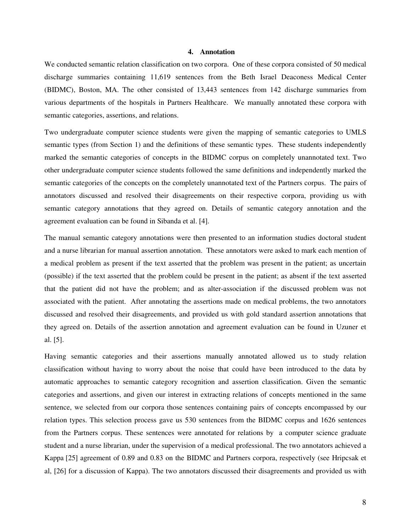# **4. Annotation**

We conducted semantic relation classification on two corpora. One of these corpora consisted of 50 medical discharge summaries containing 11,619 sentences from the Beth Israel Deaconess Medical Center (BIDMC), Boston, MA. The other consisted of 13,443 sentences from 142 discharge summaries from various departments of the hospitals in Partners Healthcare. We manually annotated these corpora with semantic categories, assertions, and relations.

Two undergraduate computer science students were given the mapping of semantic categories to UMLS semantic types (from Section 1) and the definitions of these semantic types. These students independently marked the semantic categories of concepts in the BIDMC corpus on completely unannotated text. Two other undergraduate computer science students followed the same definitions and independently marked the semantic categories of the concepts on the completely unannotated text of the Partners corpus. The pairs of annotators discussed and resolved their disagreements on their respective corpora, providing us with semantic category annotations that they agreed on. Details of semantic category annotation and the agreement evaluation can be found in Sibanda et al. [4].

The manual semantic category annotations were then presented to an information studies doctoral student and a nurse librarian for manual assertion annotation. These annotators were asked to mark each mention of a medical problem as present if the text asserted that the problem was present in the patient; as uncertain (possible) if the text asserted that the problem could be present in the patient; as absent if the text asserted that the patient did not have the problem; and as alter-association if the discussed problem was not associated with the patient. After annotating the assertions made on medical problems, the two annotators discussed and resolved their disagreements, and provided us with gold standard assertion annotations that they agreed on. Details of the assertion annotation and agreement evaluation can be found in Uzuner et al. [5].

Having semantic categories and their assertions manually annotated allowed us to study relation classification without having to worry about the noise that could have been introduced to the data by automatic approaches to semantic category recognition and assertion classification. Given the semantic categories and assertions, and given our interest in extracting relations of concepts mentioned in the same sentence, we selected from our corpora those sentences containing pairs of concepts encompassed by our relation types. This selection process gave us 530 sentences from the BIDMC corpus and 1626 sentences from the Partners corpus. These sentences were annotated for relations by a computer science graduate student and a nurse librarian, under the supervision of a medical professional. The two annotators achieved a Kappa [25] agreement of 0.89 and 0.83 on the BIDMC and Partners corpora, respectively (see Hripcsak et al, [26] for a discussion of Kappa). The two annotators discussed their disagreements and provided us with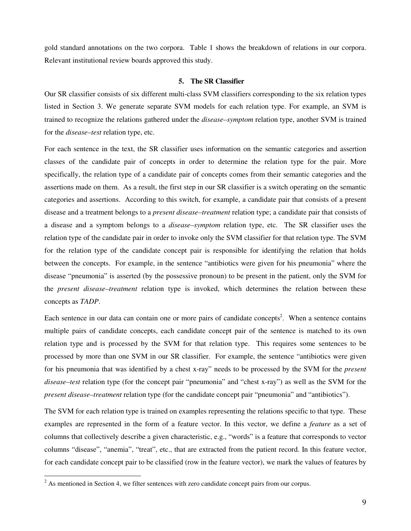gold standard annotations on the two corpora. Table 1 shows the breakdown of relations in our corpora. Relevant institutional review boards approved this study.

# **5. The SR Classifier**

Our SR classifier consists of six different multi-class SVM classifiers corresponding to the six relation types listed in Section 3. We generate separate SVM models for each relation type. For example, an SVM is trained to recognize the relations gathered under the *disease–symptom* relation type, another SVM is trained for the *disease–test* relation type, etc.

For each sentence in the text, the SR classifier uses information on the semantic categories and assertion classes of the candidate pair of concepts in order to determine the relation type for the pair. More specifically, the relation type of a candidate pair of concepts comes from their semantic categories and the assertions made on them. As a result, the first step in our SR classifier is a switch operating on the semantic categories and assertions. According to this switch, for example, a candidate pair that consists of a present disease and a treatment belongs to a *present disease–treatment* relation type; a candidate pair that consists of a disease and a symptom belongs to a *disease–symptom* relation type, etc. The SR classifier uses the relation type of the candidate pair in order to invoke only the SVM classifier for that relation type. The SVM for the relation type of the candidate concept pair is responsible for identifying the relation that holds between the concepts. For example, in the sentence "antibiotics were given for his pneumonia" where the disease "pneumonia" is asserted (by the possessive pronoun) to be present in the patient, only the SVM for the *present disease–treatment* relation type is invoked, which determines the relation between these concepts as *TADP*.

Each sentence in our data can contain one or more pairs of candidate concepts<sup>2</sup>. When a sentence contains multiple pairs of candidate concepts, each candidate concept pair of the sentence is matched to its own relation type and is processed by the SVM for that relation type. This requires some sentences to be processed by more than one SVM in our SR classifier. For example, the sentence "antibiotics were given for his pneumonia that was identified by a chest x-ray" needs to be processed by the SVM for the *present disease–test* relation type (for the concept pair "pneumonia" and "chest x-ray") as well as the SVM for the *present disease–treatment* relation type (for the candidate concept pair "pneumonia" and "antibiotics").

The SVM for each relation type is trained on examples representing the relations specific to that type. These examples are represented in the form of a feature vector. In this vector, we define a *feature* as a set of columns that collectively describe a given characteristic, e.g., "words" is a feature that corresponds to vector columns "disease", "anemia", "treat", etc., that are extracted from the patient record. In this feature vector, for each candidate concept pair to be classified (row in the feature vector), we mark the values of features by

<sup>&</sup>lt;sup>2</sup> As mentioned in Section 4, we filter sentences with zero candidate concept pairs from our corpus.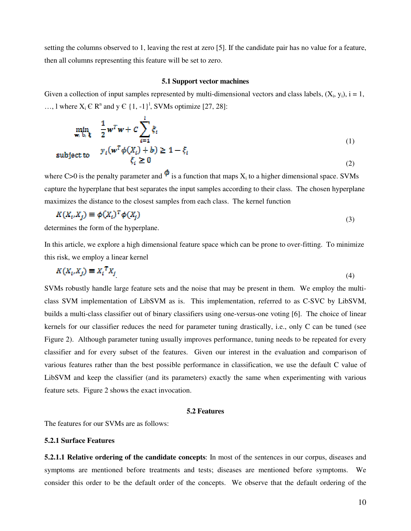setting the columns observed to 1, leaving the rest at zero [5]. If the candidate pair has no value for a feature, then all columns representing this feature will be set to zero.

#### **5.1 Support vector machines**

Given a collection of input samples represented by multi-dimensional vectors and class labels,  $(X_i, y_i)$ ,  $i = 1$ , ..., l where  $X_i \in \mathbb{R}^n$  and  $y \in \{1, -1\}^l$ , SVMs optimize [27, 28]:

$$
\min_{\mathbf{w}_i, \mathbf{b}_i, \xi} \quad \frac{1}{2} \mathbf{w}^T \mathbf{w} + C \sum_{i=1}^i \xi_i
$$
\nsubject to\n
$$
y_i(\mathbf{w}^T \phi(X_i) + b) \ge 1 - \xi_i
$$
\n
$$
\xi_i \ge 0
$$
\n(1)

where C>0 is the penalty parameter and  $\Psi$  is a function that maps  $X_i$  to a higher dimensional space. SVMs capture the hyperplane that best separates the input samples according to their class. The chosen hyperplane maximizes the distance to the closest samples from each class. The kernel function

$$
K(X_i, X_j) \equiv \phi(X_i)^T \phi(X_j) \tag{3}
$$

determines the form of the hyperplane.

In this article, we explore a high dimensional feature space which can be prone to over-fitting. To minimize this risk, we employ a linear kernel

$$
K(X_i, X_j) \equiv X_i^T X_j \tag{4}
$$

SVMs robustly handle large feature sets and the noise that may be present in them. We employ the multiclass SVM implementation of LibSVM as is. This implementation, referred to as C-SVC by LibSVM, builds a multi-class classifier out of binary classifiers using one-versus-one voting [6]. The choice of linear kernels for our classifier reduces the need for parameter tuning drastically, i.e., only C can be tuned (see Figure 2). Although parameter tuning usually improves performance, tuning needs to be repeated for every classifier and for every subset of the features. Given our interest in the evaluation and comparison of various features rather than the best possible performance in classification, we use the default C value of LibSVM and keep the classifier (and its parameters) exactly the same when experimenting with various feature sets. Figure 2 shows the exact invocation.

### **5.2 Features**

The features for our SVMs are as follows:

#### **5.2.1 Surface Features**

**5.2.1.1 Relative ordering of the candidate concepts**: In most of the sentences in our corpus, diseases and symptoms are mentioned before treatments and tests; diseases are mentioned before symptoms. We consider this order to be the default order of the concepts. We observe that the default ordering of the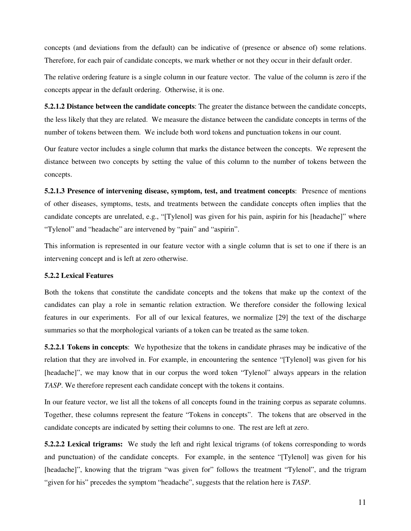concepts (and deviations from the default) can be indicative of (presence or absence of) some relations. Therefore, for each pair of candidate concepts, we mark whether or not they occur in their default order.

The relative ordering feature is a single column in our feature vector. The value of the column is zero if the concepts appear in the default ordering. Otherwise, it is one.

**5.2.1.2 Distance between the candidate concepts**: The greater the distance between the candidate concepts, the less likely that they are related. We measure the distance between the candidate concepts in terms of the number of tokens between them. We include both word tokens and punctuation tokens in our count.

Our feature vector includes a single column that marks the distance between the concepts. We represent the distance between two concepts by setting the value of this column to the number of tokens between the concepts.

**5.2.1.3 Presence of intervening disease, symptom, test, and treatment concepts**: Presence of mentions of other diseases, symptoms, tests, and treatments between the candidate concepts often implies that the candidate concepts are unrelated, e.g., "[Tylenol] was given for his pain, aspirin for his [headache]" where "Tylenol" and "headache" are intervened by "pain" and "aspirin".

This information is represented in our feature vector with a single column that is set to one if there is an intervening concept and is left at zero otherwise.

## **5.2.2 Lexical Features**

Both the tokens that constitute the candidate concepts and the tokens that make up the context of the candidates can play a role in semantic relation extraction. We therefore consider the following lexical features in our experiments. For all of our lexical features, we normalize [29] the text of the discharge summaries so that the morphological variants of a token can be treated as the same token.

**5.2.2.1 Tokens in concepts**: We hypothesize that the tokens in candidate phrases may be indicative of the relation that they are involved in. For example, in encountering the sentence "[Tylenol] was given for his [headache]", we may know that in our corpus the word token "Tylenol" always appears in the relation *TASP*. We therefore represent each candidate concept with the tokens it contains.

In our feature vector, we list all the tokens of all concepts found in the training corpus as separate columns. Together, these columns represent the feature "Tokens in concepts". The tokens that are observed in the candidate concepts are indicated by setting their columns to one. The rest are left at zero.

**5.2.2.2 Lexical trigrams:** We study the left and right lexical trigrams (of tokens corresponding to words and punctuation) of the candidate concepts. For example, in the sentence "[Tylenol] was given for his [headache]", knowing that the trigram "was given for" follows the treatment "Tylenol", and the trigram "given for his" precedes the symptom "headache", suggests that the relation here is *TASP*.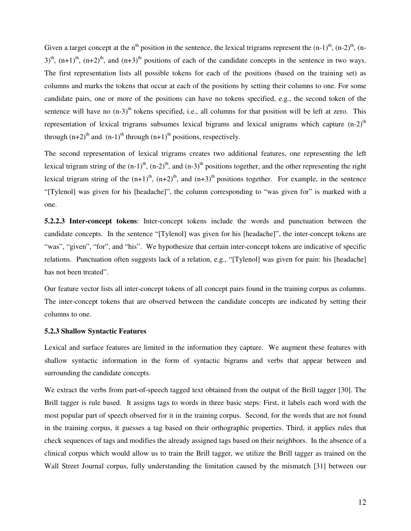Given a target concept at the n<sup>th</sup> position in the sentence, the lexical trigrams represent the  $(n-1)^{th}$ ,  $(n-2)^{th}$ ,  $(n-1)^{th}$  $3)$ <sup>th</sup>, (n+1)<sup>th</sup>, (n+2)<sup>th</sup>, and (n+3)<sup>th</sup> positions of each of the candidate concepts in the sentence in two ways. The first representation lists all possible tokens for each of the positions (based on the training set) as columns and marks the tokens that occur at each of the positions by setting their columns to one. For some candidate pairs, one or more of the positions can have no tokens specified, e.g., the second token of the sentence will have no  $(n-3)^{th}$  tokens specified, i.e., all columns for that position will be left at zero. This representation of lexical trigrams subsumes lexical bigrams and lexical unigrams which capture  $(n-2)$ <sup>th</sup> through  $(n+2)^{th}$  and  $(n-1)^{th}$  through  $(n+1)^{th}$  positions, respectively.

The second representation of lexical trigrams creates two additional features, one representing the left lexical trigram string of the  $(n-1)$ <sup>th</sup>,  $(n-2)$ <sup>th</sup>, and  $(n-3)$ <sup>th</sup> positions together, and the other representing the right lexical trigram string of the  $(n+1)^{th}$ ,  $(n+2)^{th}$ , and  $(n+3)^{th}$  positions together. For example, in the sentence "[Tylenol] was given for his [headache]", the column corresponding to "was given for" is marked with a one.

**5.2.2.3 Inter-concept tokens**: Inter-concept tokens include the words and punctuation between the candidate concepts. In the sentence "[Tylenol] was given for his [headache]", the inter-concept tokens are "was", "given", "for", and "his". We hypothesize that certain inter-concept tokens are indicative of specific relations. Punctuation often suggests lack of a relation, e.g., "[Tylenol] was given for pain: his [headache] has not been treated".

Our feature vector lists all inter-concept tokens of all concept pairs found in the training corpus as columns. The inter-concept tokens that are observed between the candidate concepts are indicated by setting their columns to one.

### **5.2.3 Shallow Syntactic Features**

Lexical and surface features are limited in the information they capture. We augment these features with shallow syntactic information in the form of syntactic bigrams and verbs that appear between and surrounding the candidate concepts.

We extract the verbs from part-of-speech tagged text obtained from the output of the Brill tagger [30]. The Brill tagger is rule based. It assigns tags to words in three basic steps: First, it labels each word with the most popular part of speech observed for it in the training corpus. Second, for the words that are not found in the training corpus, it guesses a tag based on their orthographic properties. Third, it applies rules that check sequences of tags and modifies the already assigned tags based on their neighbors. In the absence of a clinical corpus which would allow us to train the Brill tagger, we utilize the Brill tagger as trained on the Wall Street Journal corpus, fully understanding the limitation caused by the mismatch [31] between our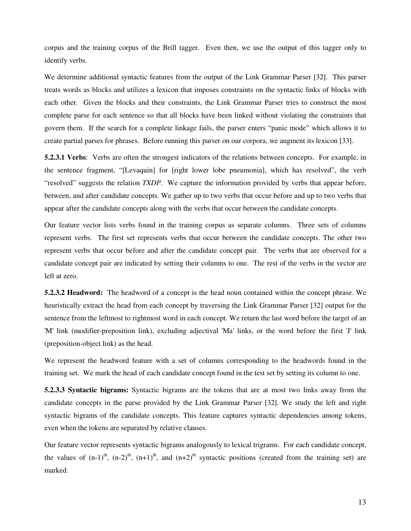corpus and the training corpus of the Brill tagger. Even then, we use the output of this tagger only to identify verbs.

We determine additional syntactic features from the output of the Link Grammar Parser [32]. This parser treats words as blocks and utilizes a lexicon that imposes constraints on the syntactic links of blocks with each other. Given the blocks and their constraints, the Link Grammar Parser tries to construct the most complete parse for each sentence so that all blocks have been linked without violating the constraints that govern them. If the search for a complete linkage fails, the parser enters "panic mode" which allows it to create partial parses for phrases. Before running this parser on our corpora, we augment its lexicon [33].

**5.2.3.1 Verbs**: Verbs are often the strongest indicators of the relations between concepts. For example, in the sentence fragment, "[Levaquin] for [right lower lobe pneumonia], which has resolved", the verb "resolved" suggests the relation *TXDP*. We capture the information provided by verbs that appear before, between, and after candidate concepts. We gather up to two verbs that occur before and up to two verbs that appear after the candidate concepts along with the verbs that occur between the candidate concepts.

Our feature vector lists verbs found in the training corpus as separate columns. Three sets of columns represent verbs. The first set represents verbs that occur between the candidate concepts. The other two represent verbs that occur before and after the candidate concept pair. The verbs that are observed for a candidate concept pair are indicated by setting their columns to one. The rest of the verbs in the vector are left at zero.

**5.2.3.2 Headword:** The headword of a concept is the head noun contained within the concept phrase. We heuristically extract the head from each concept by traversing the Link Grammar Parser [32] output for the sentence from the leftmost to rightmost word in each concept. We return the last word before the target of an 'M' link (modifier-preposition link), excluding adjectival 'Ma' links, or the word before the first 'J' link (preposition-object link) as the head.

We represent the headword feature with a set of columns corresponding to the headwords found in the training set. We mark the head of each candidate concept found in the test set by setting its column to one.

**5.2.3.3 Syntactic bigrams:** Syntactic bigrams are the tokens that are at most two links away from the candidate concepts in the parse provided by the Link Grammar Parser [32]. We study the left and right syntactic bigrams of the candidate concepts. This feature captures syntactic dependencies among tokens, even when the tokens are separated by relative clauses.

Our feature vector represents syntactic bigrams analogously to lexical trigrams. For each candidate concept, the values of  $(n-1)^{th}$ ,  $(n-2)^{th}$ ,  $(n+1)^{th}$ , and  $(n+2)^{th}$  syntactic positions (created from the training set) are marked.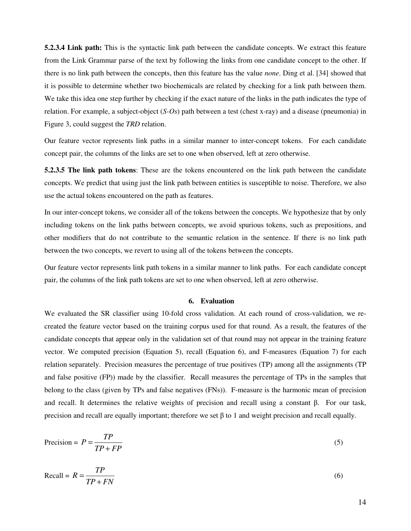**5.2.3.4 Link path:** This is the syntactic link path between the candidate concepts. We extract this feature from the Link Grammar parse of the text by following the links from one candidate concept to the other. If there is no link path between the concepts, then this feature has the value *none*. Ding et al. [34] showed that it is possible to determine whether two biochemicals are related by checking for a link path between them. We take this idea one step further by checking if the exact nature of the links in the path indicates the type of relation. For example, a subject-object (*S-Os*) path between a test (chest x-ray) and a disease (pneumonia) in Figure 3, could suggest the *TRD* relation.

Our feature vector represents link paths in a similar manner to inter-concept tokens. For each candidate concept pair, the columns of the links are set to one when observed, left at zero otherwise.

**5.2.3.5 The link path tokens**: These are the tokens encountered on the link path between the candidate concepts. We predict that using just the link path between entities is susceptible to noise. Therefore, we also use the actual tokens encountered on the path as features.

In our inter-concept tokens, we consider all of the tokens between the concepts. We hypothesize that by only including tokens on the link paths between concepts, we avoid spurious tokens, such as prepositions, and other modifiers that do not contribute to the semantic relation in the sentence. If there is no link path between the two concepts, we revert to using all of the tokens between the concepts.

Our feature vector represents link path tokens in a similar manner to link paths. For each candidate concept pair, the columns of the link path tokens are set to one when observed, left at zero otherwise.

# **6. Evaluation**

We evaluated the SR classifier using 10-fold cross validation. At each round of cross-validation, we recreated the feature vector based on the training corpus used for that round. As a result, the features of the candidate concepts that appear only in the validation set of that round may not appear in the training feature vector. We computed precision (Equation 5), recall (Equation 6), and F-measures (Equation 7) for each relation separately. Precision measures the percentage of true positives (TP) among all the assignments (TP and false positive (FP)) made by the classifier. Recall measures the percentage of TPs in the samples that belong to the class (given by TPs and false negatives (FNs)). F-measure is the harmonic mean of precision and recall. It determines the relative weights of precision and recall using a constant  $\beta$ . For our task, precision and recall are equally important; therefore we set β to 1 and weight precision and recall equally.

$$
\text{Precision} = P = \frac{TP}{TP + FP} \tag{5}
$$

$$
\text{Recall} = R = \frac{TP}{TP + FN} \tag{6}
$$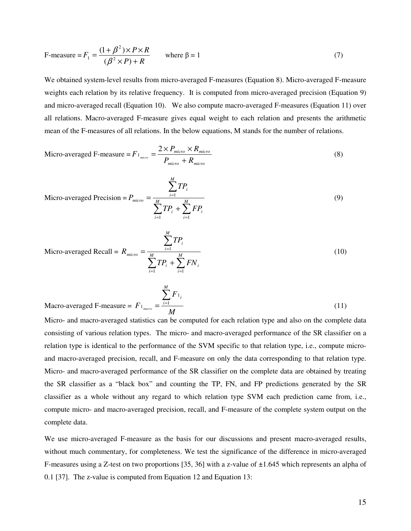$$
\text{F-measure} = F_1 = \frac{(1+\beta^2) \times P \times R}{(\beta^2 \times P) + R} \qquad \text{where } \beta = 1 \tag{7}
$$

We obtained system-level results from micro-averaged F-measures (Equation 8). Micro-averaged F-measure weights each relation by its relative frequency. It is computed from micro-averaged precision (Equation 9) and micro-averaged recall (Equation 10). We also compute macro-averaged F-measures (Equation 11) over all relations. Macro-averaged F-measure gives equal weight to each relation and presents the arithmetic mean of the F-measures of all relations. In the below equations, M stands for the number of relations.

Micro-averaged F-measure = 
$$
F_{1_{micro}} = \frac{2 \times P_{micro} \times R_{micro}}{P_{micro} + R_{micro}}
$$
 (8)

Micro-averaged Precision = 
$$
P_{micro} = \frac{\sum_{i=1}^{M} TP_i}{\sum_{i=1}^{M} TP_i + \sum_{i=1}^{M} FP_i}
$$
 (9)

Micro-averaged Recall = 
$$
R_{micro} = \frac{\sum_{i=1}^{M} TP_i}{\sum_{i=1}^{M} TP_i + \sum_{i=1}^{M} FN_i}
$$
 (10)

Macro-averaged F-measure = *M F F M i i macro*  $\sum\limits_{}^{\mathbf{\raisebox{0.1cm}{}}\;}$  $=\frac{i=1}{i}$ 1  $_{{}^{1}_{macro}} = \frac{i=1}{\ldots}$  (11)

Micro- and macro-averaged statistics can be computed for each relation type and also on the complete data consisting of various relation types. The micro- and macro-averaged performance of the SR classifier on a relation type is identical to the performance of the SVM specific to that relation type, i.e., compute microand macro-averaged precision, recall, and F-measure on only the data corresponding to that relation type. Micro- and macro-averaged performance of the SR classifier on the complete data are obtained by treating the SR classifier as a "black box" and counting the TP, FN, and FP predictions generated by the SR classifier as a whole without any regard to which relation type SVM each prediction came from, i.e., compute micro- and macro-averaged precision, recall, and F-measure of the complete system output on the complete data.

We use micro-averaged F-measure as the basis for our discussions and present macro-averaged results, without much commentary, for completeness. We test the significance of the difference in micro-averaged F-measures using a Z-test on two proportions [35, 36] with a z-value of ±1.645 which represents an alpha of 0.1 [37]. The z-value is computed from Equation 12 and Equation 13: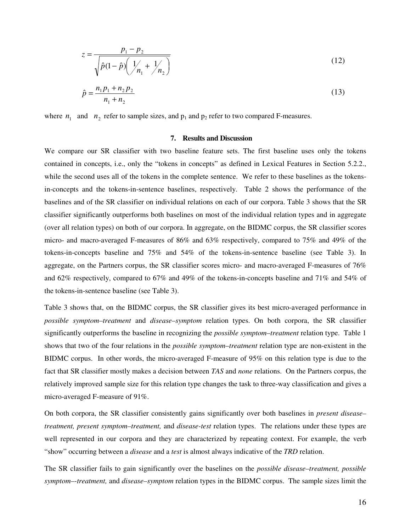$$
z = \frac{p_1 - p_2}{\sqrt{\hat{p}(1 - \hat{p}) \left(\frac{1}{p_1} + \frac{1}{p_2}\right)}}
$$
(12)

$$
\hat{p} = \frac{n_1 p_1 + n_2 p_2}{n_1 + n_2} \tag{13}
$$

where  $n_1$  and  $n_2$  refer to sample sizes, and  $p_1$  and  $p_2$  refer to two compared F-measures.

#### **7. Results and Discussion**

We compare our SR classifier with two baseline feature sets. The first baseline uses only the tokens contained in concepts, i.e., only the "tokens in concepts" as defined in Lexical Features in Section 5.2.2., while the second uses all of the tokens in the complete sentence. We refer to these baselines as the tokensin-concepts and the tokens-in-sentence baselines, respectively. Table 2 shows the performance of the baselines and of the SR classifier on individual relations on each of our corpora. Table 3 shows that the SR classifier significantly outperforms both baselines on most of the individual relation types and in aggregate (over all relation types) on both of our corpora. In aggregate, on the BIDMC corpus, the SR classifier scores micro- and macro-averaged F-measures of 86% and 63% respectively, compared to 75% and 49% of the tokens-in-concepts baseline and 75% and 54% of the tokens-in-sentence baseline (see Table 3). In aggregate, on the Partners corpus, the SR classifier scores micro- and macro-averaged F-measures of 76% and 62% respectively, compared to 67% and 49% of the tokens-in-concepts baseline and 71% and 54% of the tokens-in-sentence baseline (see Table 3).

Table 3 shows that, on the BIDMC corpus, the SR classifier gives its best micro-averaged performance in *possible symptom–treatment* and *disease–symptom* relation types. On both corpora, the SR classifier significantly outperforms the baseline in recognizing the *possible symptom–treatment* relation type. Table 1 shows that two of the four relations in the *possible symptom*–*treatment* relation type are non-existent in the BIDMC corpus. In other words, the micro-averaged F-measure of 95% on this relation type is due to the fact that SR classifier mostly makes a decision between *TAS* and *none* relations. On the Partners corpus, the relatively improved sample size for this relation type changes the task to three-way classification and gives a micro-averaged F-measure of 91%.

On both corpora, the SR classifier consistently gains significantly over both baselines in *present disease– treatment, present symptom–treatment,* and *disease-test* relation types. The relations under these types are well represented in our corpora and they are characterized by repeating context. For example, the verb "show" occurring between a *disease* and a *test* is almost always indicative of the *TRD* relation.

The SR classifier fails to gain significantly over the baselines on the *possible disease–treatment, possible symptom–-treatment,* and *disease–symptom* relation types in the BIDMC corpus. The sample sizes limit the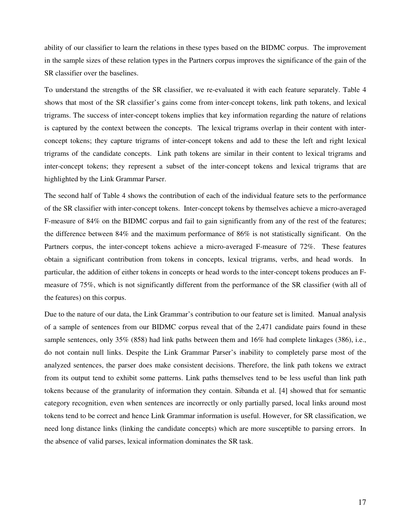ability of our classifier to learn the relations in these types based on the BIDMC corpus. The improvement in the sample sizes of these relation types in the Partners corpus improves the significance of the gain of the SR classifier over the baselines.

To understand the strengths of the SR classifier, we re-evaluated it with each feature separately. Table 4 shows that most of the SR classifier's gains come from inter-concept tokens, link path tokens, and lexical trigrams. The success of inter-concept tokens implies that key information regarding the nature of relations is captured by the context between the concepts. The lexical trigrams overlap in their content with interconcept tokens; they capture trigrams of inter-concept tokens and add to these the left and right lexical trigrams of the candidate concepts. Link path tokens are similar in their content to lexical trigrams and inter-concept tokens; they represent a subset of the inter-concept tokens and lexical trigrams that are highlighted by the Link Grammar Parser.

The second half of Table 4 shows the contribution of each of the individual feature sets to the performance of the SR classifier with inter-concept tokens. Inter-concept tokens by themselves achieve a micro-averaged F-measure of 84% on the BIDMC corpus and fail to gain significantly from any of the rest of the features; the difference between 84% and the maximum performance of 86% is not statistically significant. On the Partners corpus, the inter-concept tokens achieve a micro-averaged F-measure of 72%. These features obtain a significant contribution from tokens in concepts, lexical trigrams, verbs, and head words. In particular, the addition of either tokens in concepts or head words to the inter-concept tokens produces an Fmeasure of 75%, which is not significantly different from the performance of the SR classifier (with all of the features) on this corpus.

Due to the nature of our data, the Link Grammar's contribution to our feature set is limited. Manual analysis of a sample of sentences from our BIDMC corpus reveal that of the 2,471 candidate pairs found in these sample sentences, only 35% (858) had link paths between them and 16% had complete linkages (386), i.e., do not contain null links. Despite the Link Grammar Parser's inability to completely parse most of the analyzed sentences, the parser does make consistent decisions. Therefore, the link path tokens we extract from its output tend to exhibit some patterns. Link paths themselves tend to be less useful than link path tokens because of the granularity of information they contain. Sibanda et al. [4] showed that for semantic category recognition, even when sentences are incorrectly or only partially parsed, local links around most tokens tend to be correct and hence Link Grammar information is useful. However, for SR classification, we need long distance links (linking the candidate concepts) which are more susceptible to parsing errors. In the absence of valid parses, lexical information dominates the SR task.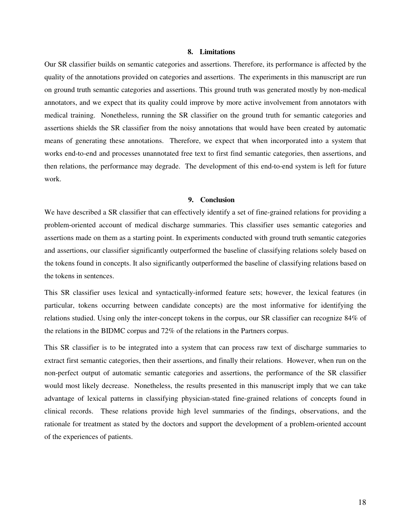## **8. Limitations**

Our SR classifier builds on semantic categories and assertions. Therefore, its performance is affected by the quality of the annotations provided on categories and assertions. The experiments in this manuscript are run on ground truth semantic categories and assertions. This ground truth was generated mostly by non-medical annotators, and we expect that its quality could improve by more active involvement from annotators with medical training. Nonetheless, running the SR classifier on the ground truth for semantic categories and assertions shields the SR classifier from the noisy annotations that would have been created by automatic means of generating these annotations. Therefore, we expect that when incorporated into a system that works end-to-end and processes unannotated free text to first find semantic categories, then assertions, and then relations, the performance may degrade. The development of this end-to-end system is left for future work.

# **9. Conclusion**

We have described a SR classifier that can effectively identify a set of fine-grained relations for providing a problem-oriented account of medical discharge summaries. This classifier uses semantic categories and assertions made on them as a starting point. In experiments conducted with ground truth semantic categories and assertions, our classifier significantly outperformed the baseline of classifying relations solely based on the tokens found in concepts. It also significantly outperformed the baseline of classifying relations based on the tokens in sentences.

This SR classifier uses lexical and syntactically-informed feature sets; however, the lexical features (in particular, tokens occurring between candidate concepts) are the most informative for identifying the relations studied. Using only the inter-concept tokens in the corpus, our SR classifier can recognize 84% of the relations in the BIDMC corpus and 72% of the relations in the Partners corpus.

This SR classifier is to be integrated into a system that can process raw text of discharge summaries to extract first semantic categories, then their assertions, and finally their relations. However, when run on the non-perfect output of automatic semantic categories and assertions, the performance of the SR classifier would most likely decrease. Nonetheless, the results presented in this manuscript imply that we can take advantage of lexical patterns in classifying physician-stated fine-grained relations of concepts found in clinical records. These relations provide high level summaries of the findings, observations, and the rationale for treatment as stated by the doctors and support the development of a problem-oriented account of the experiences of patients.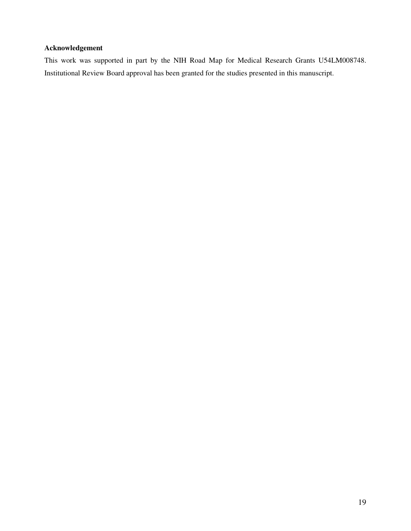# **Acknowledgement**

This work was supported in part by the NIH Road Map for Medical Research Grants U54LM008748. Institutional Review Board approval has been granted for the studies presented in this manuscript.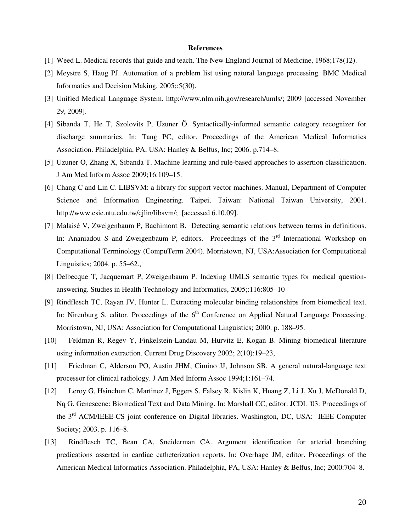### **References**

- [1] Weed L. Medical records that guide and teach. The New England Journal of Medicine, 1968;178(12).
- [2] Meystre S, Haug PJ. Automation of a problem list using natural language processing. BMC Medical Informatics and Decision Making, 2005;:5(30).
- [3] Unified Medical Language System. http://www.nlm.nih.gov/research/umls/; 2009 [accessed November 29, 2009].
- [4] Sibanda T, He T, Szolovits P, Uzuner Ö. Syntactically-informed semantic category recognizer for discharge summaries. In: Tang PC, editor. Proceedings of the American Medical Informatics Association. Philadelphia, PA, USA: Hanley & Belfus, Inc; 2006. p.714–8.
- [5] Uzuner O, Zhang X, Sibanda T. Machine learning and rule-based approaches to assertion classification. J Am Med Inform Assoc 2009;16:109–15.
- [6] Chang C and Lin C. LIBSVM: a library for support vector machines. Manual, Department of Computer Science and Information Engineering. Taipei, Taiwan: National Taiwan University, 2001. http://www.csie.ntu.edu.tw/cjlin/libsvm/; [accessed 6.10.09].
- [7] Malaisé V, Zweigenbaum P, Bachimont B. Detecting semantic relations between terms in definitions. In: Ananiadou S and Zweigenbaum P, editors. Proceedings of the  $3<sup>rd</sup>$  International Workshop on Computational Terminology (CompuTerm 2004). Morristown, NJ, USA:Association for Computational Linguistics; 2004. p. 55–62.,
- [8] Delbecque T, Jacquemart P, Zweigenbaum P. Indexing UMLS semantic types for medical questionanswering. Studies in Health Technology and Informatics, 2005;:116:805–10
- [9] Rindflesch TC, Rayan JV, Hunter L. Extracting molecular binding relationships from biomedical text. In: Nirenburg S, editor. Proceedings of the  $6<sup>th</sup>$  Conference on Applied Natural Language Processing. Morristown, NJ, USA: Association for Computational Linguistics; 2000. p. 188–95.
- [10] Feldman R, Regev Y, Finkelstein-Landau M, Hurvitz E, Kogan B. Mining biomedical literature using information extraction. Current Drug Discovery 2002; 2(10):19–23,
- [11] Friedman C, Alderson PO, Austin JHM, Cimino JJ, Johnson SB. A general natural-language text processor for clinical radiology. J Am Med Inform Assoc 1994;1:161–74.
- [12] Leroy G, Hsinchun C, Martinez J, Eggers S, Falsey R, Kislin K, Huang Z, Li J, Xu J, McDonald D, Nq G. Genescene: Biomedical Text and Data Mining. In: Marshall CC, editor: JCDL '03: Proceedings of the 3<sup>rd</sup> ACM/IEEE-CS joint conference on Digital libraries. Washington, DC, USA: IEEE Computer Society; 2003. p. 116–8.
- [13] Rindflesch TC, Bean CA, Sneiderman CA. Argument identification for arterial branching predications asserted in cardiac catheterization reports. In: Overhage JM, editor. Proceedings of the American Medical Informatics Association. Philadelphia, PA, USA: Hanley & Belfus, Inc; 2000:704–8.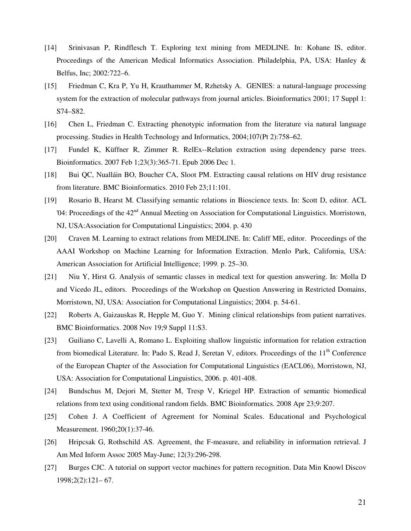- [14] Srinivasan P, Rindflesch T. Exploring text mining from MEDLINE. In: Kohane IS, editor. Proceedings of the American Medical Informatics Association. Philadelphia, PA, USA: Hanley & Belfus, Inc; 2002:722–6.
- [15] Friedman C, Kra P, Yu H, Krauthammer M, Rzhetsky A. GENIES: a natural-language processing system for the extraction of molecular pathways from journal articles. Bioinformatics 2001; 17 Suppl 1: S74–S82.
- [16] Chen L, Friedman C. Extracting phenotypic information from the literature via natural language processing. Studies in Health Technology and Informatics, 2004;107(Pt 2):758–62.
- [17] Fundel K, Küffner R, Zimmer R. RelEx--Relation extraction using dependency parse trees. Bioinformatics. 2007 Feb 1;23(3):365-71. Epub 2006 Dec 1.
- [18] Bui QC, Nualláin BO, Boucher CA, Sloot PM. Extracting causal relations on HIV drug resistance from literature. BMC Bioinformatics. 2010 Feb 23;11:101.
- [19] Rosario B, Hearst M. Classifying semantic relations in Bioscience texts. In: Scott D, editor. ACL '04: Proceedings of the 42<sup>nd</sup> Annual Meeting on Association for Computational Linguistics. Morristown, NJ, USA:Association for Computational Linguistics; 2004. p. 430
- [20] Craven M. Learning to extract relations from MEDLINE. In: Califf ME, editor. Proceedings of the AAAI Workshop on Machine Learning for Information Extraction. Menlo Park, California, USA: American Association for Artificial Intelligence; 1999. p. 25–30.
- [21] Niu Y, Hirst G. Analysis of semantic classes in medical text for question answering. In: Molla D and Vicedo JL, editors. Proceedings of the Workshop on Question Answering in Restricted Domains, Morristown, NJ, USA: Association for Computational Linguistics; 2004. p. 54-61.
- [22] Roberts A, Gaizauskas R, Hepple M, Guo Y. Mining clinical relationships from patient narratives. BMC Bioinformatics. 2008 Nov 19;9 Suppl 11:S3.
- [23] Guiliano C, Lavelli A, Romano L. Exploiting shallow linguistic information for relation extraction from biomedical Literature. In: Pado S, Read J, Seretan V, editors. Proceedings of the 11<sup>th</sup> Conference of the European Chapter of the Association for Computational Linguistics (EACL06), Morristown, NJ, USA: Association for Computational Linguistics, 2006. p. 401-408.
- [24] Bundschus M, Dejori M, Stetter M, Tresp V, Kriegel HP. Extraction of semantic biomedical relations from text using conditional random fields. BMC Bioinformatics. 2008 Apr 23;9:207.
- [25] Cohen J. A Coefficient of Agreement for Nominal Scales. Educational and Psychological Measurement. 1960;20(1):37-46.
- [26] Hripcsak G, Rothschild AS. Agreement, the F-measure, and reliability in information retrieval. J Am Med Inform Assoc 2005 May-June; 12(3):296-298.
- [27] Burges CJC. A tutorial on support vector machines for pattern recognition. Data Min Knowl Discov 1998;2(2):121– 67.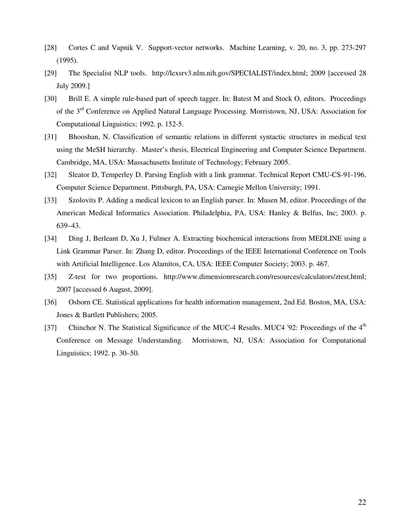- [28] Cortes C and Vapnik V. Support-vector networks. Machine Learning, v. 20, no. 3, pp. 273-297 (1995).
- [29] The Specialist NLP tools. http://lexsrv3.nlm.nih.gov/SPECIALIST/index.html; 2009 [accessed 28 July 2009.]
- [30] Brill E. A simple rule-based part of speech tagger. In: Batest M and Stock O, editors. Proceedings of the 3rd Conference on Applied Natural Language Processing. Morristown, NJ, USA: Association for Computational Linguistics; 1992. p. 152-5.
- [31] Bhooshan, N. Classification of semantic relations in different syntactic structures in medical text using the MeSH hierarchy. Master's thesis, Electrical Engineering and Computer Science Department. Cambridge, MA, USA: Massachusetts Institute of Technology; February 2005.
- [32] Sleator D, Temperley D. Parsing English with a link grammar. Technical Report CMU-CS-91-196, Computer Science Department. Pittsburgh, PA, USA: Carnegie Mellon University; 1991.
- [33] Szolovits P. Adding a medical lexicon to an English parser. In: Musen M, editor. Proceedings of the American Medical Informatics Association. Philadelphia, PA, USA: Hanley & Belfus, Inc; 2003. p. 639–43.
- [34] Ding J, Berleant D, Xu J, Fulmer A. Extracting biochemical interactions from MEDLINE using a Link Grammar Parser. In: Zhang D, editor. Proceedings of the IEEE International Conference on Tools with Artificial Intelligence. Los Alamitos, CA, USA: IEEE Computer Society; 2003. p. 467.
- [35] Z-test for two proportions. http://www.dimensionresearch.com/resources/calculators/ztest.html; 2007 [accessed 6 August, 2009].
- [36] Osborn CE. Statistical applications for health information management, 2nd Ed. Boston, MA, USA: Jones & Bartlett Publishers; 2005.
- [37] Chinchor N. The Statistical Significance of the MUC-4 Results. MUC4 '92: Proceedings of the 4<sup>th</sup> Conference on Message Understanding. Morristown, NJ, USA: Association for Computational Linguistics; 1992. p. 30–50.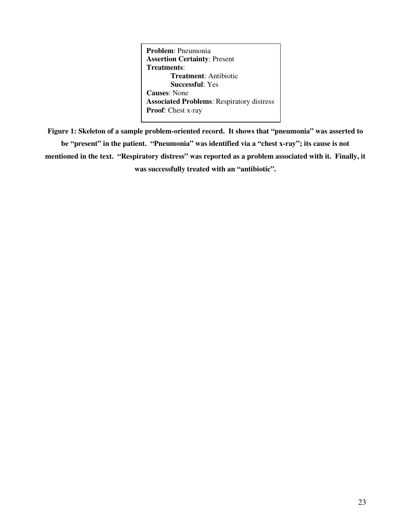**Problem**: Pneumonia **Assertion Certainty**: Present **Treatments**: **Treatment**: Antibiotic **Successful**: Yes **Causes**: None **Associated Problems**: Respiratory distress **Proof**: Chest x-ray

**Figure 1: Skeleton of a sample problem-oriented record. It shows that "pneumonia" was asserted to be "present" in the patient. "Pneumonia" was identified via a "chest x-ray"; its cause is not mentioned in the text. "Respiratory distress" was reported as a problem associated with it. Finally, it was successfully treated with an "antibiotic".**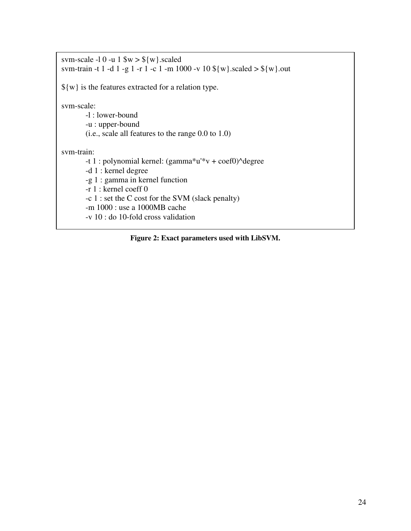| sym-scale -10 -u 1 $w > \frac{1}{8}$   w \ scaled<br>sym-train -t 1 -d 1 -g 1 -r 1 -c 1 -m 1000 -v 10 $\gamma$ w .scaled > $\gamma$ w .out                                                                                                                                                            |  |  |  |  |  |  |  |
|-------------------------------------------------------------------------------------------------------------------------------------------------------------------------------------------------------------------------------------------------------------------------------------------------------|--|--|--|--|--|--|--|
| $\{\{w\}\}\$ is the features extracted for a relation type.                                                                                                                                                                                                                                           |  |  |  |  |  |  |  |
| sym-scale:<br>-1 : lower-bound<br>-u : upper-bound<br>(i.e., scale all features to the range $0.0$ to $1.0$ )                                                                                                                                                                                         |  |  |  |  |  |  |  |
| sym-train:<br>-t 1 : polynomial kernel: $(gamma^*u^*v + coef0)^{\wedge}degree$<br>-d 1 : kernel degree<br>$-g 1:$ gamma in kernel function<br>$-r1$ : kernel coeff 0<br>$-c 1$ : set the C cost for the SVM (slack penalty)<br>$-$ m 1000 : use a 1000MB cache<br>-v 10 : do 10-fold cross validation |  |  |  |  |  |  |  |

**Figure 2: Exact parameters used with LibSVM.**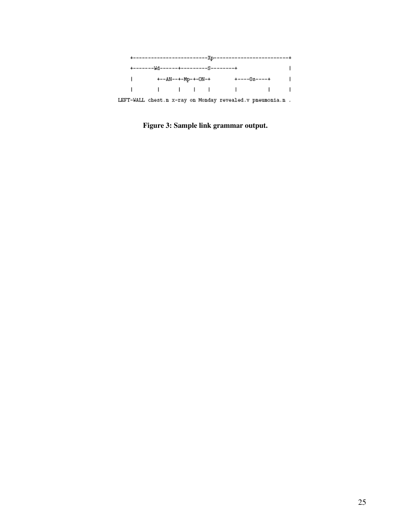

**Figure 3: Sample link grammar output.**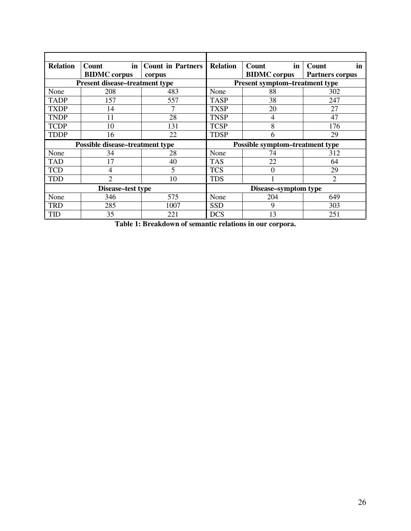| <b>Relation</b> | in<br>Count                            | <b>Count in Partners</b> | <b>Relation</b>                        | Count<br>in         | Count<br>in            |  |  |
|-----------------|----------------------------------------|--------------------------|----------------------------------------|---------------------|------------------------|--|--|
|                 | <b>BIDMC</b> corpus                    | corpus                   |                                        | <b>BIDMC</b> corpus | <b>Partners corpus</b> |  |  |
|                 | <b>Present disease–treatment type</b>  |                          | <b>Present symptom-treatment type</b>  |                     |                        |  |  |
| None            | 208                                    | 483                      | None                                   | 88                  | 302                    |  |  |
| <b>TADP</b>     | 157                                    | 557                      | <b>TASP</b>                            | 38                  | 247                    |  |  |
| <b>TXDP</b>     | 14                                     |                          | <b>TXSP</b>                            | 20                  | 27                     |  |  |
| <b>TNDP</b>     | 11                                     | 28                       | <b>TNSP</b>                            |                     | 47                     |  |  |
| <b>TCDP</b>     | 10                                     | 131                      | <b>TCSP</b>                            | 8                   | 176                    |  |  |
| <b>TDDP</b>     | 16                                     | 22                       | <b>TDSP</b>                            | 6                   | 29                     |  |  |
|                 | <b>Possible disease–treatment type</b> |                          | <b>Possible symptom-treatment type</b> |                     |                        |  |  |
| None            | 34                                     | 28                       | None                                   | 312<br>74           |                        |  |  |
| <b>TAD</b>      | 17                                     | 40                       | <b>TAS</b>                             | 22                  | 64                     |  |  |
| <b>TCD</b>      | 4                                      | 5                        | <b>TCS</b>                             | 0                   | 29                     |  |  |
| <b>TDD</b>      | $\mathcal{D}$                          | 10                       | <b>TDS</b>                             |                     | 2                      |  |  |
|                 | Disease–test type                      |                          | Disease–symptom type                   |                     |                        |  |  |
| None            | 346                                    | 575                      | None                                   | 204                 | 649                    |  |  |
| <b>TRD</b>      | 285                                    | 1007                     | <b>SSD</b>                             | 9                   | 303                    |  |  |
| TID             | 35                                     | 221                      | <b>DCS</b>                             | 13                  | 251                    |  |  |

**Table 1: Breakdown of semantic relations in our corpora.**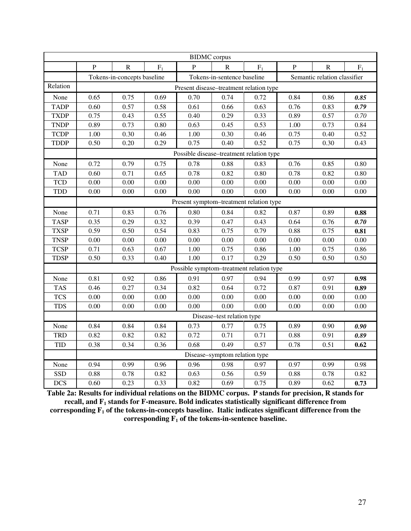| <b>BIDMC</b> corpus |                                                                                            |           |       |                                          |           |       |           |             |          |  |
|---------------------|--------------------------------------------------------------------------------------------|-----------|-------|------------------------------------------|-----------|-------|-----------|-------------|----------|--|
|                     | $\mathbf{P}$                                                                               | ${\bf R}$ | $F_1$ | $\mathbf{P}$                             | ${\bf R}$ | $F_1$ | ${\bf P}$ | $\mathbf R$ | $F_1$    |  |
|                     | Semantic relation classifier<br>Tokens-in-concepts baseline<br>Tokens-in-sentence baseline |           |       |                                          |           |       |           |             |          |  |
| Relation            | Present disease–treatment relation type                                                    |           |       |                                          |           |       |           |             |          |  |
| None                | 0.65                                                                                       | 0.75      | 0.69  | 0.70                                     | 0.74      | 0.72  | 0.84      | 0.86        | 0.85     |  |
| <b>TADP</b>         | 0.60                                                                                       | 0.57      | 0.58  | 0.61                                     | 0.66      | 0.63  | 0.76      | 0.83        | 0.79     |  |
| <b>TXDP</b>         | 0.75                                                                                       | 0.43      | 0.55  | 0.40                                     | 0.29      | 0.33  | 0.89      | 0.57        | 0.70     |  |
| <b>TNDP</b>         | 0.89                                                                                       | 0.73      | 0.80  | 0.63                                     | 0.45      | 0.53  | 1.00      | 0.73        | 0.84     |  |
| <b>TCDP</b>         | 1.00                                                                                       | 0.30      | 0.46  | 1.00                                     | 0.30      | 0.46  | 0.75      | 0.40        | 0.52     |  |
| <b>TDDP</b>         | 0.50                                                                                       | 0.20      | 0.29  | 0.75                                     | 0.40      | 0.52  | 0.75      | 0.30        | 0.43     |  |
|                     | Possible disease-treatment relation type                                                   |           |       |                                          |           |       |           |             |          |  |
| None                | 0.72                                                                                       | 0.79      | 0.75  | 0.78                                     | 0.88      | 0.83  | 0.76      | 0.85        | 0.80     |  |
| <b>TAD</b>          | 0.60                                                                                       | 0.71      | 0.65  | 0.78                                     | 0.82      | 0.80  | 0.78      | 0.82        | 0.80     |  |
| <b>TCD</b>          | 0.00                                                                                       | 0.00      | 0.00  | 0.00                                     | 0.00      | 0.00  | 0.00      | 0.00        | 0.00     |  |
| <b>TDD</b>          | 0.00                                                                                       | 0.00      | 0.00  | 0.00                                     | 0.00      | 0.00  | 0.00      | 0.00        | 0.00     |  |
|                     |                                                                                            |           |       | Present symptom-treatment relation type  |           |       |           |             |          |  |
| None                | 0.71                                                                                       | 0.83      | 0.76  | 0.80                                     | 0.84      | 0.82  | 0.87      | 0.89        | 0.88     |  |
| <b>TASP</b>         | 0.35                                                                                       | 0.29      | 0.32  | 0.39                                     | 0.47      | 0.43  | 0.64      | 0.76        | 0.70     |  |
| <b>TXSP</b>         | 0.59                                                                                       | 0.50      | 0.54  | 0.83                                     | 0.75      | 0.79  | 0.88      | 0.75        | 0.81     |  |
| <b>TNSP</b>         | 0.00                                                                                       | 0.00      | 0.00  | 0.00                                     | 0.00      | 0.00  | 0.00      | 0.00        | $0.00\,$ |  |
| <b>TCSP</b>         | 0.71                                                                                       | 0.63      | 0.67  | 1.00                                     | 0.75      | 0.86  | 1.00      | 0.75        | 0.86     |  |
| <b>TDSP</b>         | 0.50                                                                                       | 0.33      | 0.40  | 1.00                                     | 0.17      | 0.29  | 0.50      | 0.50        | 0.50     |  |
|                     |                                                                                            |           |       | Possible symptom-treatment relation type |           |       |           |             |          |  |
| None                | 0.81                                                                                       | 0.92      | 0.86  | 0.91                                     | 0.97      | 0.94  | 0.99      | 0.97        | 0.98     |  |
| <b>TAS</b>          | 0.46                                                                                       | 0.27      | 0.34  | 0.82                                     | 0.64      | 0.72  | 0.87      | 0.91        | 0.89     |  |
| <b>TCS</b>          | 0.00                                                                                       | 0.00      | 0.00  | 0.00                                     | 0.00      | 0.00  | 0.00      | 0.00        | 0.00     |  |
| <b>TDS</b>          | 0.00                                                                                       | 0.00      | 0.00  | 0.00                                     | 0.00      | 0.00  | 0.00      | 0.00        | 0.00     |  |
|                     | Disease-test relation type                                                                 |           |       |                                          |           |       |           |             |          |  |
| None                | 0.84                                                                                       | 0.84      | 0.84  | 0.73                                     | 0.77      | 0.75  | 0.89      | 0.90        | 0.90     |  |
| <b>TRD</b>          | 0.82                                                                                       | 0.82      | 0.82  | 0.72                                     | 0.71      | 0.71  | 0.88      | 0.91        | 0.89     |  |
| <b>TID</b>          | 0.38                                                                                       | 0.34      | 0.36  | 0.68                                     | 0.49      | 0.57  | 0.78      | 0.51        | 0.62     |  |
|                     | Disease-symptom relation type                                                              |           |       |                                          |           |       |           |             |          |  |
| None                | 0.94                                                                                       | 0.99      | 0.96  | 0.96                                     | 0.98      | 0.97  | 0.97      | 0.99        | 0.98     |  |
| <b>SSD</b>          | 0.88                                                                                       | 0.78      | 0.82  | 0.63                                     | 0.56      | 0.59  | 0.88      | 0.78        | 0.82     |  |
| <b>DCS</b>          | 0.60                                                                                       | 0.23      | 0.33  | 0.82                                     | 0.69      | 0.75  | 0.89      | 0.62        | 0.73     |  |

**Table 2a: Results for individual relations on the BIDMC corpus. P stands for precision, R stands for recall, and F1 stands for F-measure. Bold indicates statistically significant difference from corresponding F1 of the tokens-in-concepts baseline. Italic indicates significant difference from the corresponding F1 of the tokens-in-sentence baseline.**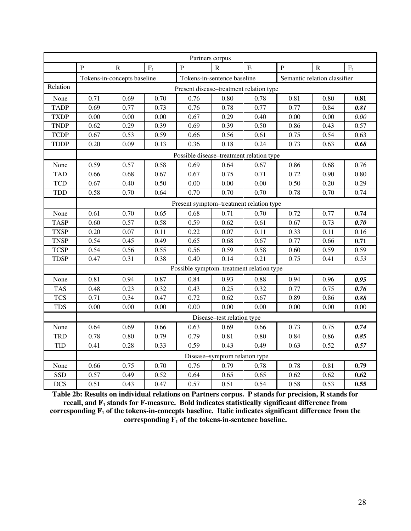| Partners corpus |                                                                                            |             |       |                                          |             |       |              |             |       |  |
|-----------------|--------------------------------------------------------------------------------------------|-------------|-------|------------------------------------------|-------------|-------|--------------|-------------|-------|--|
|                 | $\mathbf{P}$                                                                               | $\mathbf R$ | $F_1$ | $\overline{P}$                           | $\mathbf R$ | $F_1$ | $\mathbf{P}$ | $\mathbf R$ | $F_1$ |  |
|                 | Tokens-in-sentence baseline<br>Semantic relation classifier<br>Tokens-in-concepts baseline |             |       |                                          |             |       |              |             |       |  |
| Relation        | Present disease-treatment relation type                                                    |             |       |                                          |             |       |              |             |       |  |
| None            | 0.71                                                                                       | 0.69        | 0.70  | 0.76                                     | 0.80        | 0.78  | 0.81         | 0.80        | 0.81  |  |
| <b>TADP</b>     | 0.69                                                                                       | 0.77        | 0.73  | 0.76                                     | 0.78        | 0.77  | 0.77         | 0.84        | 0.81  |  |
| <b>TXDP</b>     | 0.00                                                                                       | 0.00        | 0.00  | 0.67                                     | 0.29        | 0.40  | 0.00         | 0.00        | 0.00  |  |
| <b>TNDP</b>     | 0.62                                                                                       | 0.29        | 0.39  | 0.69                                     | 0.39        | 0.50  | 0.86         | 0.43        | 0.57  |  |
| <b>TCDP</b>     | 0.67                                                                                       | 0.53        | 0.59  | 0.66                                     | 0.56        | 0.61  | 0.75         | 0.54        | 0.63  |  |
| <b>TDDP</b>     | 0.20                                                                                       | 0.09        | 0.13  | 0.36                                     | 0.18        | 0.24  | 0.73         | 0.63        | 0.68  |  |
|                 | Possible disease-treatment relation type                                                   |             |       |                                          |             |       |              |             |       |  |
| None            | 0.59                                                                                       | 0.57        | 0.58  | 0.69                                     | 0.64        | 0.67  | 0.86         | 0.68        | 0.76  |  |
| <b>TAD</b>      | 0.66                                                                                       | 0.68        | 0.67  | 0.67                                     | 0.75        | 0.71  | 0.72         | 0.90        | 0.80  |  |
| <b>TCD</b>      | 0.67                                                                                       | 0.40        | 0.50  | 0.00                                     | 0.00        | 0.00  | 0.50         | 0.20        | 0.29  |  |
| <b>TDD</b>      | 0.58                                                                                       | 0.70        | 0.64  | 0.70                                     | 0.70        | 0.70  | 0.78         | 0.70        | 0.74  |  |
|                 | Present symptom-treatment relation type                                                    |             |       |                                          |             |       |              |             |       |  |
| None            | 0.61                                                                                       | 0.70        | 0.65  | 0.68                                     | 0.71        | 0.70  | 0.72         | 0.77        | 0.74  |  |
| <b>TASP</b>     | 0.60                                                                                       | 0.57        | 0.58  | 0.59                                     | 0.62        | 0.61  | 0.67         | 0.73        | 0.70  |  |
| <b>TXSP</b>     | 0.20                                                                                       | 0.07        | 0.11  | 0.22                                     | 0.07        | 0.11  | 0.33         | 0.11        | 0.16  |  |
| <b>TNSP</b>     | 0.54                                                                                       | 0.45        | 0.49  | 0.65                                     | 0.68        | 0.67  | 0.77         | 0.66        | 0.71  |  |
| <b>TCSP</b>     | 0.54                                                                                       | 0.56        | 0.55  | 0.56                                     | 0.59        | 0.58  | 0.60         | 0.59        | 0.59  |  |
| <b>TDSP</b>     | 0.47                                                                                       | 0.31        | 0.38  | 0.40                                     | 0.14        | 0.21  | 0.75         | 0.41        | 0.53  |  |
|                 |                                                                                            |             |       | Possible symptom-treatment relation type |             |       |              |             |       |  |
| None            | 0.81                                                                                       | 0.94        | 0.87  | 0.84                                     | 0.93        | 0.88  | 0.94         | 0.96        | 0.95  |  |
| <b>TAS</b>      | 0.48                                                                                       | 0.23        | 0.32  | 0.43                                     | 0.25        | 0.32  | 0.77         | 0.75        | 0.76  |  |
| <b>TCS</b>      | 0.71                                                                                       | 0.34        | 0.47  | 0.72                                     | 0.62        | 0.67  | 0.89         | 0.86        | 0.88  |  |
| <b>TDS</b>      | 0.00                                                                                       | 0.00        | 0.00  | 0.00                                     | 0.00        | 0.00  | 0.00         | 0.00        | 0.00  |  |
|                 | Disease-test relation type                                                                 |             |       |                                          |             |       |              |             |       |  |
| None            | 0.64                                                                                       | 0.69        | 0.66  | 0.63                                     | 0.69        | 0.66  | 0.73         | 0.75        | 0.74  |  |
| <b>TRD</b>      | 0.78                                                                                       | 0.80        | 0.79  | 0.79                                     | 0.81        | 0.80  | 0.84         | 0.86        | 0.85  |  |
| <b>TID</b>      | 0.41                                                                                       | 0.28        | 0.33  | 0.59                                     | 0.43        | 0.49  | 0.63         | 0.52        | 0.57  |  |
|                 | Disease-symptom relation type                                                              |             |       |                                          |             |       |              |             |       |  |
| None            | 0.66                                                                                       | 0.75        | 0.70  | 0.76                                     | 0.79        | 0.78  | 0.78         | 0.81        | 0.79  |  |
| <b>SSD</b>      | 0.57                                                                                       | 0.49        | 0.52  | 0.64                                     | 0.65        | 0.65  | 0.62         | 0.62        | 0.62  |  |
| <b>DCS</b>      | 0.51                                                                                       | 0.43        | 0.47  | 0.57                                     | 0.51        | 0.54  | 0.58         | 0.53        | 0.55  |  |

**Table 2b: Results on individual relations on Partners corpus. P stands for precision, R stands for recall, and F1 stands for F-measure. Bold indicates statistically significant difference from corresponding F1 of the tokens-in-concepts baseline. Italic indicates significant difference from the corresponding F1 of the tokens-in-sentence baseline.**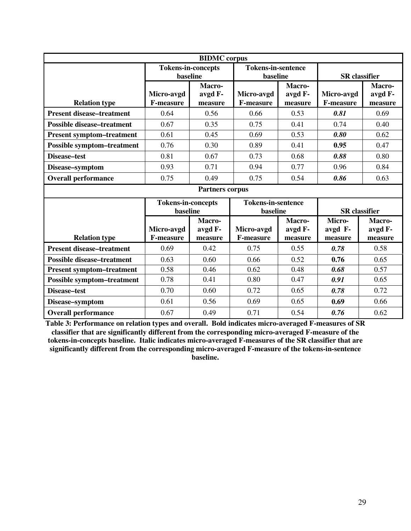| <b>BIDMC</b> corpus               |                                              |                              |                                              |                              |                                |                              |  |  |
|-----------------------------------|----------------------------------------------|------------------------------|----------------------------------------------|------------------------------|--------------------------------|------------------------------|--|--|
|                                   | <b>Tokens-in-concepts</b><br>baseline        |                              | <b>Tokens-in-sentence</b><br>baseline        |                              | <b>SR</b> classifier           |                              |  |  |
| <b>Relation type</b>              | Micro-avgd<br><b>F-measure</b>               | Macro-<br>avgd F-<br>measure | Micro-avgd<br><b>F-measure</b>               | Macro-<br>avgd F-<br>measure | Micro-avgd<br><b>F-measure</b> | Macro-<br>avgd F-<br>measure |  |  |
| <b>Present disease-treatment</b>  | 0.64                                         | 0.56                         | 0.66                                         | 0.53                         | 0.81                           | 0.69                         |  |  |
| <b>Possible disease-treatment</b> | 0.67                                         | 0.35                         | 0.75                                         | 0.41                         | 0.74                           | 0.40                         |  |  |
| <b>Present symptom-treatment</b>  | 0.61                                         | 0.45                         | 0.69                                         | 0.53                         | 0.80                           | 0.62                         |  |  |
| <b>Possible symptom-treatment</b> | 0.76                                         | 0.30                         | 0.89<br>0.41                                 |                              | 0.95                           | 0.47                         |  |  |
| Disease-test                      | 0.81                                         | 0.67                         | 0.73                                         | 0.68                         | 0.88                           | 0.80                         |  |  |
| Disease-symptom                   | 0.93                                         | 0.71                         | 0.94                                         | 0.77                         | 0.96                           | 0.84                         |  |  |
| <b>Overall performance</b>        | 0.75                                         | 0.49                         | 0.75                                         | 0.54                         | 0.86                           | 0.63                         |  |  |
|                                   |                                              | <b>Partners corpus</b>       |                                              |                              |                                |                              |  |  |
|                                   | <b>Tokens-in-concepts</b><br><b>baseline</b> |                              | <b>Tokens-in-sentence</b><br><b>baseline</b> |                              | <b>SR</b> classifier           |                              |  |  |
|                                   |                                              | Macro-                       | Macro-<br>avgd F-<br>Micro-avgd              |                              |                                |                              |  |  |
| <b>Relation type</b>              | Micro-avgd<br><b>F-measure</b>               | avgd F-<br>measure           | <b>F-measure</b>                             | measure                      | Micro-<br>avgd F-<br>measure   | Macro-<br>avgd F-<br>measure |  |  |
| <b>Present disease-treatment</b>  | 0.69                                         | 0.42                         | 0.75                                         | 0.55                         | 0.78                           | 0.58                         |  |  |
| <b>Possible disease–treatment</b> | 0.63                                         | 0.60                         | 0.66                                         | 0.52                         | 0.76                           | 0.65                         |  |  |
| <b>Present symptom-treatment</b>  | 0.58                                         | 0.46                         | 0.62                                         | 0.48                         | 0.68                           | 0.57                         |  |  |
| <b>Possible symptom-treatment</b> | 0.78                                         | 0.41                         | 0.80                                         | 0.47                         | 0.91                           | 0.65                         |  |  |
| <b>Disease-test</b>               | 0.70                                         | 0.60                         | 0.72                                         | 0.65                         | 0.78                           | 0.72                         |  |  |
| Disease-symptom                   | 0.61                                         | 0.56                         | 0.69                                         | 0.65                         | 0.69                           | 0.66                         |  |  |

**Table 3: Performance on relation types and overall. Bold indicates micro-averaged F-measures of SR classifier that are significantly different from the corresponding micro-averaged F-measure of the tokens-in-concepts baseline. Italic indicates micro-averaged F-measures of the SR classifier that are significantly different from the corresponding micro-averaged F-measure of the tokens-in-sentence baseline.**